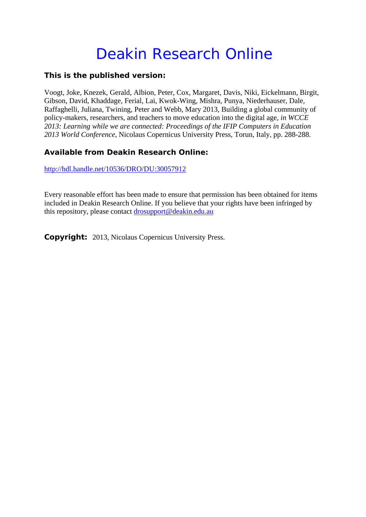# Deakin Research Online

### **This is the published version:**

Voogt, Joke, Knezek, Gerald, Albion, Peter, Cox, Margaret, Davis, Niki, Eickelmann, Birgit, Gibson, David, Khaddage, Ferial, Lai, Kwok-Wing, Mishra, Punya, Niederhauser, Dale, Raffaghelli, Juliana, Twining, Peter and Webb, Mary 2013, Building a global community of policy-makers, researchers, and teachers to move education into the digital age*, in WCCE 2013: Learning while we are connected: Proceedings of the IFIP Computers in Education 2013 World Conference*, Nicolaus Copernicus University Press, Torun, Italy, pp. 288-288.

## **Available from Deakin Research Online:**

http://hdl.handle.net/10536/DRO/DU:30057912

Every reasonable effort has been made to ensure that permission has been obtained for items included in Deakin Research Online. If you believe that your rights have been infringed by this repository, please contact drosupport@deakin.edu.au

**Copyright:** 2013, Nicolaus Copernicus University Press.